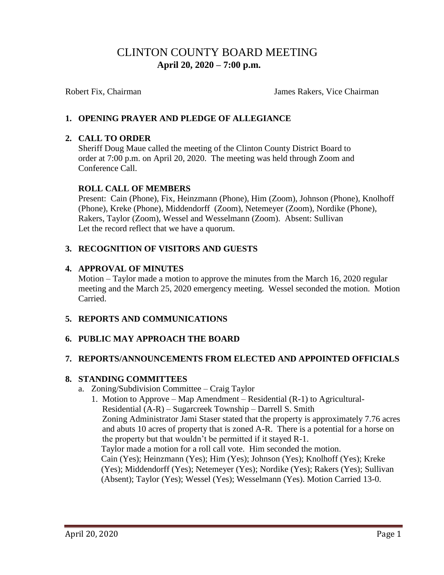# CLINTON COUNTY BOARD MEETING  **April 20, 2020 – 7:00 p.m.**

Robert Fix, Chairman **Islams** James Rakers, Vice Chairman

# **1. OPENING PRAYER AND PLEDGE OF ALLEGIANCE**

### **2. CALL TO ORDER**

Sheriff Doug Maue called the meeting of the Clinton County District Board to order at 7:00 p.m. on April 20, 2020. The meeting was held through Zoom and Conference Call.

### **ROLL CALL OF MEMBERS**

Present: Cain (Phone), Fix, Heinzmann (Phone), Him (Zoom), Johnson (Phone), Knolhoff (Phone), Kreke (Phone), Middendorff (Zoom), Netemeyer (Zoom), Nordike (Phone), Rakers, Taylor (Zoom), Wessel and Wesselmann (Zoom). Absent: Sullivan Let the record reflect that we have a quorum.

# **3. RECOGNITION OF VISITORS AND GUESTS**

### **4. APPROVAL OF MINUTES**

Motion – Taylor made a motion to approve the minutes from the March 16, 2020 regular meeting and the March 25, 2020 emergency meeting. Wessel seconded the motion. Motion Carried.

# **5. REPORTS AND COMMUNICATIONS**

# **6. PUBLIC MAY APPROACH THE BOARD**

### **7. REPORTS/ANNOUNCEMENTS FROM ELECTED AND APPOINTED OFFICIALS**

### **8. STANDING COMMITTEES**

- a. Zoning/Subdivision Committee Craig Taylor
	- 1. Motion to Approve Map Amendment Residential (R-1) to Agricultural- Residential (A-R) – Sugarcreek Township – Darrell S. Smith Zoning Administrator Jami Staser stated that the property is approximately 7.76 acres and abuts 10 acres of property that is zoned A-R. There is a potential for a horse on the property but that wouldn't be permitted if it stayed R-1. Taylor made a motion for a roll call vote. Him seconded the motion. Cain (Yes); Heinzmann (Yes); Him (Yes); Johnson (Yes); Knolhoff (Yes); Kreke (Yes); Middendorff (Yes); Netemeyer (Yes); Nordike (Yes); Rakers (Yes); Sullivan (Absent); Taylor (Yes); Wessel (Yes); Wesselmann (Yes). Motion Carried 13-0.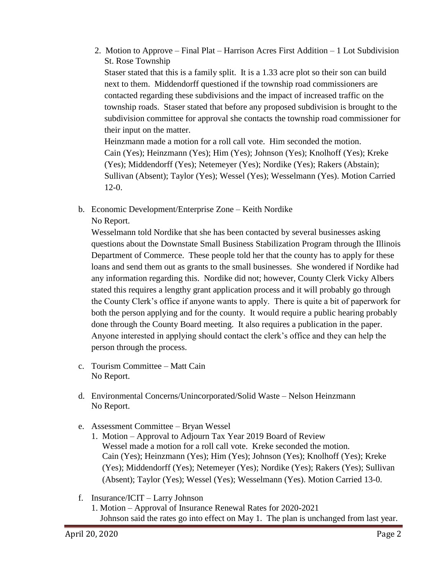- 2. Motion to Approve Final Plat Harrison Acres First Addition 1 Lot Subdivision St. Rose Township Staser stated that this is a family split. It is a 1.33 acre plot so their son can build next to them. Middendorff questioned if the township road commissioners are contacted regarding these subdivisions and the impact of increased traffic on the township roads. Staser stated that before any proposed subdivision is brought to the subdivision committee for approval she contacts the township road commissioner for their input on the matter. Heinzmann made a motion for a roll call vote. Him seconded the motion. Cain (Yes); Heinzmann (Yes); Him (Yes); Johnson (Yes); Knolhoff (Yes); Kreke (Yes); Middendorff (Yes); Netemeyer (Yes); Nordike (Yes); Rakers (Abstain); Sullivan (Absent); Taylor (Yes); Wessel (Yes); Wesselmann (Yes). Motion Carried
- b. Economic Development/Enterprise Zone Keith Nordike No Report.

Wesselmann told Nordike that she has been contacted by several businesses asking questions about the Downstate Small Business Stabilization Program through the Illinois Department of Commerce. These people told her that the county has to apply for these loans and send them out as grants to the small businesses. She wondered if Nordike had any information regarding this. Nordike did not; however, County Clerk Vicky Albers stated this requires a lengthy grant application process and it will probably go through the County Clerk's office if anyone wants to apply. There is quite a bit of paperwork for both the person applying and for the county. It would require a public hearing probably done through the County Board meeting. It also requires a publication in the paper. Anyone interested in applying should contact the clerk's office and they can help the person through the process.

c. Tourism Committee – Matt Cain No Report.

12-0.

- d. Environmental Concerns/Unincorporated/Solid Waste Nelson Heinzmann No Report.
- e. Assessment Committee Bryan Wessel
	- 1. Motion Approval to Adjourn Tax Year 2019 Board of Review Wessel made a motion for a roll call vote. Kreke seconded the motion. Cain (Yes); Heinzmann (Yes); Him (Yes); Johnson (Yes); Knolhoff (Yes); Kreke (Yes); Middendorff (Yes); Netemeyer (Yes); Nordike (Yes); Rakers (Yes); Sullivan (Absent); Taylor (Yes); Wessel (Yes); Wesselmann (Yes). Motion Carried 13-0.
- f. Insurance/ICIT Larry Johnson
	- 1. Motion Approval of Insurance Renewal Rates for 2020-2021 Johnson said the rates go into effect on May 1. The plan is unchanged from last year.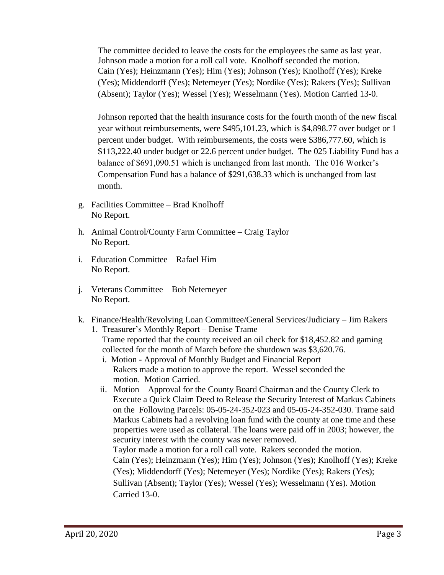The committee decided to leave the costs for the employees the same as last year. Johnson made a motion for a roll call vote. Knolhoff seconded the motion. Cain (Yes); Heinzmann (Yes); Him (Yes); Johnson (Yes); Knolhoff (Yes); Kreke (Yes); Middendorff (Yes); Netemeyer (Yes); Nordike (Yes); Rakers (Yes); Sullivan (Absent); Taylor (Yes); Wessel (Yes); Wesselmann (Yes). Motion Carried 13-0.

Johnson reported that the health insurance costs for the fourth month of the new fiscal year without reimbursements, were \$495,101.23, which is \$4,898.77 over budget or 1 percent under budget. With reimbursements, the costs were \$386,777.60, which is \$113,222.40 under budget or 22.6 percent under budget. The 025 Liability Fund has a balance of \$691,090.51 which is unchanged from last month. The 016 Worker's Compensation Fund has a balance of \$291,638.33 which is unchanged from last month.

- g. Facilities Committee Brad Knolhoff No Report.
- h. Animal Control/County Farm Committee Craig Taylor No Report.
- i. Education Committee Rafael Him No Report.
- j. Veterans Committee Bob Netemeyer No Report.
- k. Finance/Health/Revolving Loan Committee/General Services/Judiciary Jim Rakers
	- 1. Treasurer's Monthly Report Denise Trame Trame reported that the county received an oil check for \$18,452.82 and gaming collected for the month of March before the shutdown was \$3,620.76.
		- i. Motion Approval of Monthly Budget and Financial Report Rakers made a motion to approve the report. Wessel seconded the motion. Motion Carried.
		- ii. Motion Approval for the County Board Chairman and the County Clerk to Execute a Quick Claim Deed to Release the Security Interest of Markus Cabinets on the Following Parcels: 05-05-24-352-023 and 05-05-24-352-030. Trame said Markus Cabinets had a revolving loan fund with the county at one time and these properties were used as collateral. The loans were paid off in 2003; however, the security interest with the county was never removed. Taylor made a motion for a roll call vote. Rakers seconded the motion. Cain (Yes); Heinzmann (Yes); Him (Yes); Johnson (Yes); Knolhoff (Yes); Kreke (Yes); Middendorff (Yes); Netemeyer (Yes); Nordike (Yes); Rakers (Yes); Sullivan (Absent); Taylor (Yes); Wessel (Yes); Wesselmann (Yes). Motion Carried 13-0.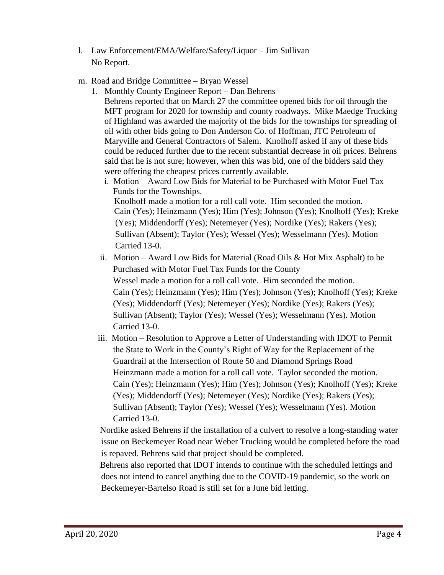- l. Law Enforcement/EMA/Welfare/Safety/Liquor Jim Sullivan No Report.
- m. Road and Bridge Committee Bryan Wessel
	- 1. Monthly County Engineer Report Dan Behrens Behrens reported that on March 27 the committee opened bids for oil through the MFT program for 2020 for township and county roadways. Mike Maedge Trucking of Highland was awarded the majority of the bids for the townships for spreading of oil with other bids going to Don Anderson Co. of Hoffman, JTC Petroleum of Maryville and General Contractors of Salem. Knolhoff asked if any of these bids could be reduced further due to the recent substantial decrease in oil prices. Behrens said that he is not sure; however, when this was bid, one of the bidders said they were offering the cheapest prices currently available.
		- i. Motion Award Low Bids for Material to be Purchased with Motor Fuel Tax Funds for the Townships.

 Knolhoff made a motion for a roll call vote. Him seconded the motion. Cain (Yes); Heinzmann (Yes); Him (Yes); Johnson (Yes); Knolhoff (Yes); Kreke (Yes); Middendorff (Yes); Netemeyer (Yes); Nordike (Yes); Rakers (Yes); Sullivan (Absent); Taylor (Yes); Wessel (Yes); Wesselmann (Yes). Motion Carried 13-0.

- ii. Motion Award Low Bids for Material (Road Oils & Hot Mix Asphalt) to be Purchased with Motor Fuel Tax Funds for the County Wessel made a motion for a roll call vote. Him seconded the motion. Cain (Yes); Heinzmann (Yes); Him (Yes); Johnson (Yes); Knolhoff (Yes); Kreke (Yes); Middendorff (Yes); Netemeyer (Yes); Nordike (Yes); Rakers (Yes); Sullivan (Absent); Taylor (Yes); Wessel (Yes); Wesselmann (Yes). Motion Carried 13-0.
- iii. Motion Resolution to Approve a Letter of Understanding with IDOT to Permit the State to Work in the County's Right of Way for the Replacement of the Guardrail at the Intersection of Route 50 and Diamond Springs Road Heinzmann made a motion for a roll call vote. Taylor seconded the motion. Cain (Yes); Heinzmann (Yes); Him (Yes); Johnson (Yes); Knolhoff (Yes); Kreke (Yes); Middendorff (Yes); Netemeyer (Yes); Nordike (Yes); Rakers (Yes); Sullivan (Absent); Taylor (Yes); Wessel (Yes); Wesselmann (Yes). Motion Carried 13-0.

Nordike asked Behrens if the installation of a culvert to resolve a long-standing water issue on Beckemeyer Road near Weber Trucking would be completed before the road is repaved. Behrens said that project should be completed.

Behrens also reported that IDOT intends to continue with the scheduled lettings and does not intend to cancel anything due to the COVID-19 pandemic, so the work on Beckemeyer-Bartelso Road is still set for a June bid letting.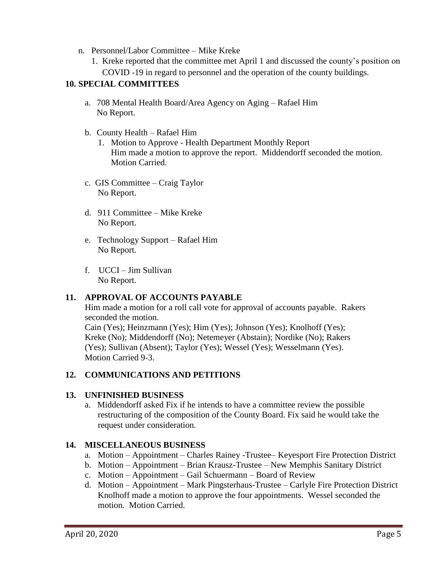- n. Personnel/Labor Committee Mike Kreke
	- 1. Kreke reported that the committee met April 1 and discussed the county's position on COVID -19 in regard to personnel and the operation of the county buildings.

# **10. SPECIAL COMMITTEES**

- a. 708 Mental Health Board/Area Agency on Aging Rafael Him No Report.
- b. County Health Rafael Him
	- 1. Motion to Approve Health Department Monthly Report Him made a motion to approve the report. Middendorff seconded the motion. Motion Carried.
- c. GIS Committee Craig Taylor No Report.
- d. 911 Committee Mike Kreke No Report.
- e. Technology Support Rafael Him No Report.
- f. UCCI Jim Sullivan No Report.

### **11. APPROVAL OF ACCOUNTS PAYABLE**

Him made a motion for a roll call vote for approval of accounts payable. Rakers seconded the motion.

 Cain (Yes); Heinzmann (Yes); Him (Yes); Johnson (Yes); Knolhoff (Yes); Kreke (No); Middendorff (No); Netemeyer (Abstain); Nordike (No); Rakers (Yes); Sullivan (Absent); Taylor (Yes); Wessel (Yes); Wesselmann (Yes). Motion Carried 9-3.

### **12. COMMUNICATIONS AND PETITIONS**

### **13. UNFINISHED BUSINESS**

a. Middendorff asked Fix if he intends to have a committee review the possible restructuring of the composition of the County Board. Fix said he would take the request under consideration.

### **14. MISCELLANEOUS BUSINESS**

- a. Motion Appointment Charles Rainey -Trustee– Keyesport Fire Protection District
- b. Motion Appointment Brian Krausz-Trustee New Memphis Sanitary District
- c. Motion Appointment Gail Schuermann Board of Review
- d. Motion Appointment Mark Pingsterhaus-Trustee Carlyle Fire Protection District Knolhoff made a motion to approve the four appointments. Wessel seconded the motion. Motion Carried.